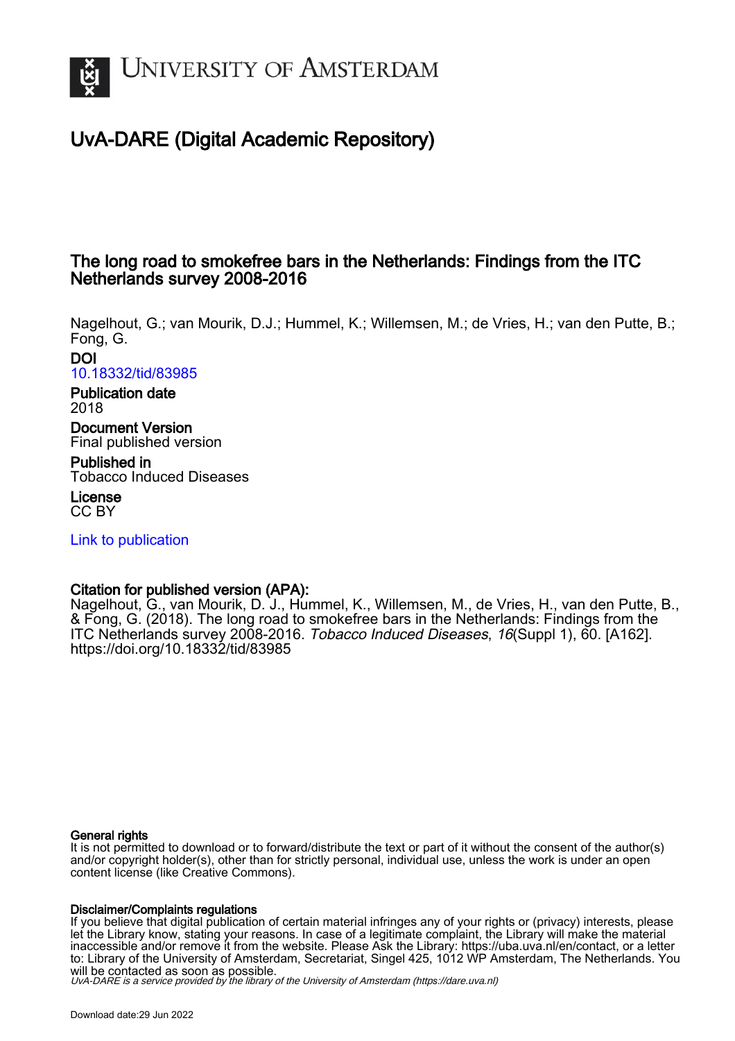

# UvA-DARE (Digital Academic Repository)

## The long road to smokefree bars in the Netherlands: Findings from the ITC Netherlands survey 2008-2016

Nagelhout, G.; van Mourik, D.J.; Hummel, K.; Willemsen, M.; de Vries, H.; van den Putte, B.; Fong, G.

DOI [10.18332/tid/83985](https://doi.org/10.18332/tid/83985)

#### Publication date 2018

Document Version Final published version

Published in Tobacco Induced Diseases

License CC BY

[Link to publication](https://dare.uva.nl/personal/pure/en/publications/the-long-road-to-smokefree-bars-in-the-netherlands-findings-from-the-itc-netherlands-survey-20082016(e1702d39-6b05-4c9d-a3ba-7c781213a8f5).html)

### Citation for published version (APA):

Nagelhout, G., van Mourik, D. J., Hummel, K., Willemsen, M., de Vries, H., van den Putte, B., & Fong, G. (2018). The long road to smokefree bars in the Netherlands: Findings from the ITC Netherlands survey 2008-2016. Tobacco Induced Diseases, 16(Suppl 1), 60. [A162]. <https://doi.org/10.18332/tid/83985>

#### General rights

It is not permitted to download or to forward/distribute the text or part of it without the consent of the author(s) and/or copyright holder(s), other than for strictly personal, individual use, unless the work is under an open content license (like Creative Commons).

#### Disclaimer/Complaints regulations

If you believe that digital publication of certain material infringes any of your rights or (privacy) interests, please let the Library know, stating your reasons. In case of a legitimate complaint, the Library will make the material inaccessible and/or remove it from the website. Please Ask the Library: https://uba.uva.nl/en/contact, or a letter to: Library of the University of Amsterdam, Secretariat, Singel 425, 1012 WP Amsterdam, The Netherlands. You will be contacted as soon as possible.

UvA-DARE is a service provided by the library of the University of Amsterdam (http*s*://dare.uva.nl)